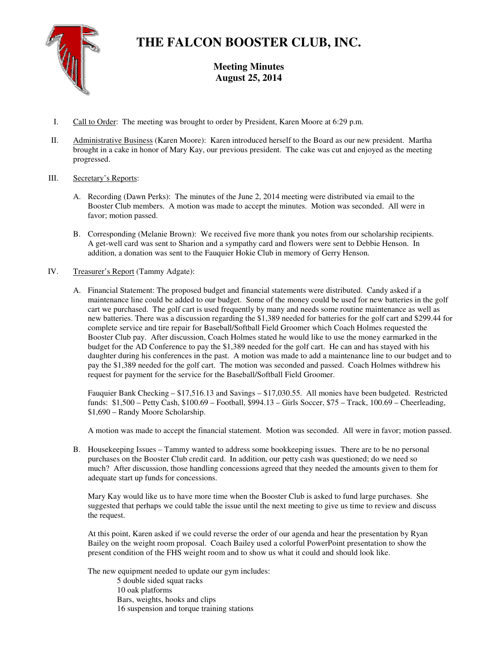

# **THE FALCON BOOSTER CLUB, INC.**

**Meeting Minutes August 25, 2014** 

- I. Call to Order: The meeting was brought to order by President, Karen Moore at 6:29 p.m.
- II. Administrative Business (Karen Moore): Karen introduced herself to the Board as our new president. Martha brought in a cake in honor of Mary Kay, our previous president. The cake was cut and enjoyed as the meeting progressed.
- III. Secretary's Reports:
	- A. Recording (Dawn Perks): The minutes of the June 2, 2014 meeting were distributed via email to the Booster Club members. A motion was made to accept the minutes. Motion was seconded. All were in favor; motion passed.
	- B. Corresponding (Melanie Brown): We received five more thank you notes from our scholarship recipients. A get-well card was sent to Sharion and a sympathy card and flowers were sent to Debbie Henson. In addition, a donation was sent to the Fauquier Hokie Club in memory of Gerry Henson.
- IV. Treasurer's Report (Tammy Adgate):
	- A. Financial Statement: The proposed budget and financial statements were distributed. Candy asked if a maintenance line could be added to our budget. Some of the money could be used for new batteries in the golf cart we purchased. The golf cart is used frequently by many and needs some routine maintenance as well as new batteries. There was a discussion regarding the \$1,389 needed for batteries for the golf cart and \$299.44 for complete service and tire repair for Baseball/Softball Field Groomer which Coach Holmes requested the Booster Club pay. After discussion, Coach Holmes stated he would like to use the money earmarked in the budget for the AD Conference to pay the \$1,389 needed for the golf cart. He can and has stayed with his daughter during his conferences in the past. A motion was made to add a maintenance line to our budget and to pay the \$1,389 needed for the golf cart. The motion was seconded and passed. Coach Holmes withdrew his request for payment for the service for the Baseball/Softball Field Groomer.

Fauquier Bank Checking – \$17,516.13 and Savings – \$17,030.55. All monies have been budgeted. Restricted funds: \$1,500 – Petty Cash, \$100.69 – Football, \$994.13 – Girls Soccer, \$75 – Track, 100.69 – Cheerleading, \$1,690 – Randy Moore Scholarship.

A motion was made to accept the financial statement. Motion was seconded. All were in favor; motion passed.

B. Housekeeping Issues – Tammy wanted to address some bookkeeping issues. There are to be no personal purchases on the Booster Club credit card. In addition, our petty cash was questioned; do we need so much? After discussion, those handling concessions agreed that they needed the amounts given to them for adequate start up funds for concessions.

Mary Kay would like us to have more time when the Booster Club is asked to fund large purchases. She suggested that perhaps we could table the issue until the next meeting to give us time to review and discuss the request.

At this point, Karen asked if we could reverse the order of our agenda and hear the presentation by Ryan Bailey on the weight room proposal. Coach Bailey used a colorful PowerPoint presentation to show the present condition of the FHS weight room and to show us what it could and should look like.

The new equipment needed to update our gym includes:

5 double sided squat racks 10 oak platforms Bars, weights, hooks and clips 16 suspension and torque training stations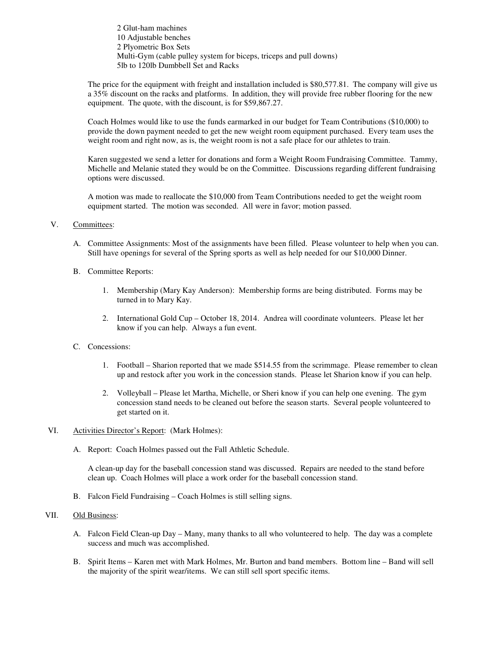2 Glut-ham machines 10 Adjustable benches 2 Plyometric Box Sets Multi-Gym (cable pulley system for biceps, triceps and pull downs) 5lb to 120lb Dumbbell Set and Racks

The price for the equipment with freight and installation included is \$80,577.81. The company will give us a 35% discount on the racks and platforms. In addition, they will provide free rubber flooring for the new equipment. The quote, with the discount, is for \$59,867.27.

Coach Holmes would like to use the funds earmarked in our budget for Team Contributions (\$10,000) to provide the down payment needed to get the new weight room equipment purchased. Every team uses the weight room and right now, as is, the weight room is not a safe place for our athletes to train.

Karen suggested we send a letter for donations and form a Weight Room Fundraising Committee. Tammy, Michelle and Melanie stated they would be on the Committee. Discussions regarding different fundraising options were discussed.

A motion was made to reallocate the \$10,000 from Team Contributions needed to get the weight room equipment started. The motion was seconded. All were in favor; motion passed.

# V. Committees:

- A. Committee Assignments: Most of the assignments have been filled. Please volunteer to help when you can. Still have openings for several of the Spring sports as well as help needed for our \$10,000 Dinner.
- B. Committee Reports:
	- 1. Membership (Mary Kay Anderson): Membership forms are being distributed. Forms may be turned in to Mary Kay.
	- 2. International Gold Cup October 18, 2014. Andrea will coordinate volunteers. Please let her know if you can help. Always a fun event.

#### C. Concessions:

- 1. Football Sharion reported that we made \$514.55 from the scrimmage. Please remember to clean up and restock after you work in the concession stands. Please let Sharion know if you can help.
- 2. Volleyball Please let Martha, Michelle, or Sheri know if you can help one evening. The gym concession stand needs to be cleaned out before the season starts. Several people volunteered to get started on it.

# VI. Activities Director's Report: (Mark Holmes):

A. Report: Coach Holmes passed out the Fall Athletic Schedule.

A clean-up day for the baseball concession stand was discussed. Repairs are needed to the stand before clean up. Coach Holmes will place a work order for the baseball concession stand.

B. Falcon Field Fundraising – Coach Holmes is still selling signs.

### VII. Old Business:

- A. Falcon Field Clean-up Day Many, many thanks to all who volunteered to help. The day was a complete success and much was accomplished.
- B. Spirit Items Karen met with Mark Holmes, Mr. Burton and band members. Bottom line Band will sell the majority of the spirit wear/items. We can still sell sport specific items.